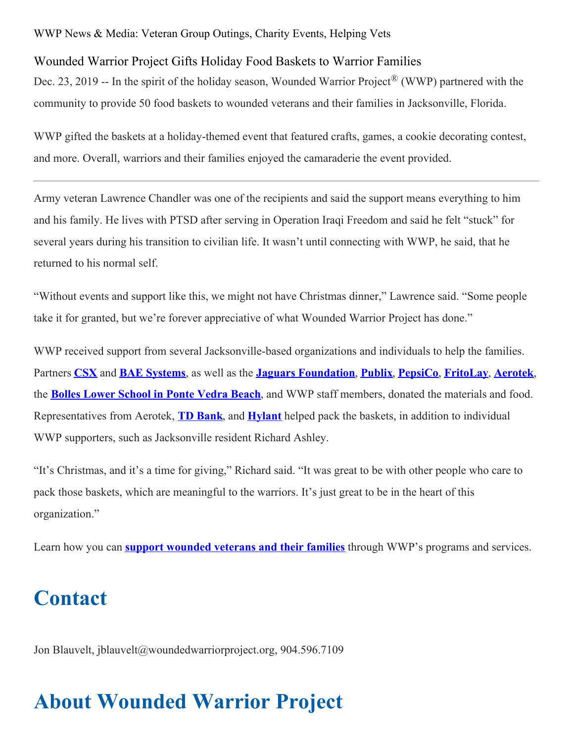## WWP News & Media: Veteran Group Outings, Charity Events, Helping Vets

## Wounded Warrior Project Gifts Holiday Food Baskets to Warrior Families

Dec. 23, 2019 -- In the spirit of the holiday season, Wounded Warrior Project<sup>®</sup> (WWP) partnered with the community to provide 50 food baskets to wounded veterans and their families in Jacksonville, Florida.

WWP gifted the baskets at a holiday-themed event that featured crafts, games, a cookie decorating contest, and more. Overall, warriors and their families enjoyed the camaraderie the event provided.

Army veteran Lawrence Chandler was one of the recipients and said the support means everything to him and his family. He lives with PTSD after serving in Operation Iraqi Freedom and said he felt "stuck" for several years during his transition to civilian life. It wasn't until connecting with WWP, he said, that he returned to his normal self.

"Without events and support like this, we might not have Christmas dinner," Lawrence said. "Some people take it for granted, but we're forever appreciative of what Wounded Warrior Project has done."

WWP received support from several Jacksonville-based organizations and individuals to help the families. Partners **[CSX](https://www.csx.com/)** and **BAE [Systems](https://www.baesystems.com/en/home)**, as well as the **Jaguars [Foundation](https://www.jaguars.com/community/)**, **[Publix](https://www.publix.com/)**, **[PepsiCo](https://www.pepsico.com/)**, **[FritoLay](https://www.fritolay.com/)**, **[Aerotek](https://aerotek.com/en)**, the **Bolles Lower [School](https://www.bolles.org/) in Ponte Vedra Beach**, and WWP staff members, donated the materials and food. Representatives from Aerotek, **TD [Bank](http://www.td.com/)**, and **[Hylant](https://www.hylant.com/)** helped pack the baskets, in addition to individual WWP supporters, such as Jacksonville resident Richard Ashley.

"It's Christmas, and it's a time for giving," Richard said. "It was great to be with other people who care to pack those baskets, which are meaningful to the warriors. It's just great to be in the heart of this organization."

Learn how you can **support [wounded](https://www.woundedwarriorproject.org/donate?utm_source=newsroom&utm_medium=link&utm_campaign=PR&utm_content=donations) veterans and their families** through WWP's programs and services.

## **Contact**

Jon Blauvelt, jblauvelt@woundedwarriorproject.org, 904.596.7109

## **About Wounded Warrior Project**